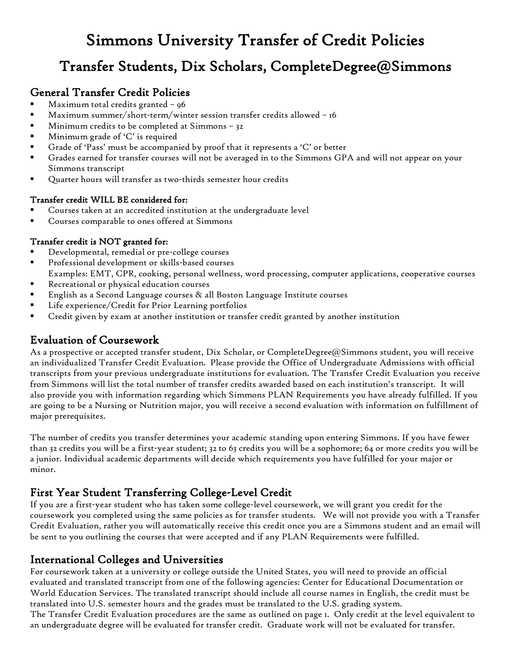# Simmons University Transfer of Credit Policies

## Transfer Students, Dix Scholars, CompleteDegree@Simmons

## General Transfer Credit Policies

- Maximum total credits granted 96
- Maximum summer/short-term/winter session transfer credits allowed 16
- Minimum credits to be completed at Simmons 32
- Minimum grade of 'C' is required
- Grade of 'Pass' must be accompanied by proof that it represents a 'C' or better
- Grades earned for transfer courses will not be averaged in to the Simmons GPA and will not appear on your Simmons transcript
- Quarter hours will transfer as two-thirds semester hour credits

#### Transfer credit WILL BE considered for:

- Courses taken at an accredited institution at the undergraduate level
- Courses comparable to ones offered at Simmons

#### Transfer credit is NOT granted for:

- Developmental, remedial or pre-college courses
- Professional development or skills-based courses
- Examples: EMT, CPR, cooking, personal wellness, word processing, computer applications, cooperative courses
- Recreational or physical education courses
- English as a Second Language courses & all Boston Language Institute courses
- Life experience/Credit for Prior Learning portfolios
- Credit given by exam at another institution or transfer credit granted by another institution

## Evaluation of Coursework

As a prospective or accepted transfer student, Dix Scholar, or CompleteDegree@Simmons student, you will receive an individualized Transfer Credit Evaluation. Please provide the Office of Undergraduate Admissions with official transcripts from your previous undergraduate institutions for evaluation. The Transfer Credit Evaluation you receive from Simmons will list the total number of transfer credits awarded based on each institution's transcript. It will also provide you with information regarding which Simmons PLAN Requirements you have already fulfilled. If you are going to be a Nursing or Nutrition major, you will receive a second evaluation with information on fulfillment of major prerequisites.

The number of credits you transfer determines your academic standing upon entering Simmons. If you have fewer than 32 credits you will be a first-year student; 32 to 63 credits you will be a sophomore; 64 or more credits you will be a junior. Individual academic departments will decide which requirements you have fulfilled for your major or minor.

## First Year Student Transferring College-Level Credit

If you are a first-year student who has taken some college-level coursework, we will grant you credit for the coursework you completed using the same policies as for transfer students. We will not provide you with a Transfer Credit Evaluation, rather you will automatically receive this credit once you are a Simmons student and an email will be sent to you outlining the courses that were accepted and if any PLAN Requirements were fulfilled.

## International Colleges and Universities

For coursework taken at a university or college outside the United States, you will need to provide an official evaluated and translated transcript from one of the following agencies: Center for Educational Documentation or World Education Services. The translated transcript should include all course names in English, the credit must be translated into U.S. semester hours and the grades must be translated to the U.S. grading system. The Transfer Credit Evaluation procedures are the same as outlined on page 1. Only credit at the level equivalent to an undergraduate degree will be evaluated for transfer credit. Graduate work will not be evaluated for transfer.